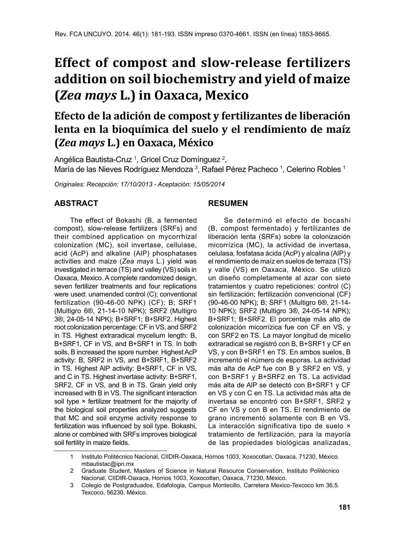# **Effect of compost and slow-release fertilizers addition on soil biochemistry and yield of maize (***Zea mays* **L.) in Oaxaca, Mexico**

# **Efecto de la adición de compost y fertilizantes de liberación lenta en la bioquímica del suelo y el rendimiento de maíz (***Zea mays* **L.) en Oaxaca, México**

Angélica Bautista-Cruz <sup>1</sup>, Gricel Cruz Domínguez <sup>2</sup>, María de las Nieves Rodríguez Mendoza <sup>3</sup>, Rafael Pérez Pacheco <sup>1</sup>, Celerino Robles <sup>1</sup>

*Originales: Recepción: 17/10/2013 - Aceptación: 15/05/2014*

# **ABSTRACT**

The effect of Bokashi (B, a fermented compost), slow-release fertilizers (SRFs) and their combined application on mycorrhizal colonization (MC), soil invertase, cellulase, acid (AcP) and alkaline (AlP) phosphatases activities and maize (*Zea mays* L.) yield was investigated in terrace (TS) and valley (VS) soils in Oaxaca, Mexico. A complete randomized design, seven fertilizer treatments and four replications were used: unamended control (C); conventional fertilization (90-46-00 NPK) (CF); B; SRF1 (Multigro 6®, 21-14-10 NPK); SRF2 (Multigro 3®, 24-05-14 NPK); B+SRF1; B+SRF2. Highest root colonization percentage: CF in VS, and SRF2 in TS. Highest extraradical mycelium length: B, B+SRF1, CF in VS, and B+SRF1 in TS. In both soils, B increased the spore number. Highest AcP activity: B, SRF2 in VS, and B+SRF1, B+SRF2 in TS. Highest AlP activity: B+SRF1, CF in VS, and C in TS. Highest invertase activity: B+SRF1, SRF2, CF in VS, and B in TS. Grain yield only increased with B in VS. The significant interaction soil type × fertilizer treatment for the majority of the biological soil properties analyzed suggests that MC and soil enzyme activity response to fertilization was influenced by soil type. Bokashi, alone or combined with SRFs improves biological soil fertility in maize fields.

## **RESUMEN**

Se determinó el efecto de bocashi (B, compost fermentado) y fertilizantes de liberación lenta (SRFs) sobre la colonización micorrízica (MC), la actividad de invertasa, celulasa, fosfatasa ácida (AcP) y alcalina (AlP) y el rendimiento de maíz en suelos de terraza (TS) y valle (VS) en Oaxaca, México. Se utilizó un diseño completamente al azar con siete tratamientos y cuatro repeticiones: control (C) sin fertilización; fertilización convencional (CF) (90-46-00 NPK); B; SRF1 (Multigro 6®, 21-14- 10 NPK); SRF2 (Multigro 3®, 24-05-14 NPK); B+SRF1; B+SRF2. El porcentaje más alto de colonización micorrízica fue con CF en VS, y con SRF2 en TS. La mayor longitud de micelio extraradical se registró con B, B+SRF1 y CF en VS, y con B+SRF1 en TS. En ambos suelos, B incrementó el número de esporas. La actividad más alta de AcP fue con B y SRF2 en VS, y con B+SRF1 y B+SRF2 en TS. La actividad más alta de AlP se detectó con B+SRF1 y CF en VS y con C en TS. La actividad más alta de invertasa se encontró con B+SRF1, SRF2 y CF en VS y con B en TS. El rendimiento de grano incrementó solamente con B en VS. La interacción significativa tipo de suelo × tratamiento de fertilización, para la mayoría de las propiedades biológicas analizadas,

<sup>1</sup> Instituto Politécnico Nacional, CIIDIR-Oaxaca, Hornos 1003, Xoxocotlan, Oaxaca, 71230, México. mbautistac@ipn.mx

<sup>2</sup> Graduate Student, Masters of Science in Natural Resource Conservation, Instituto Politécnico Nacional, CIIDIR-Oaxaca, Hornos 1003, Xoxocotlan, Oaxaca, 71230, México.

<sup>3</sup> Colegio de Postgraduados, Edafologia, Campus Montecillo, Carretera Mexico-Texcoco km 36,5. Texcoco, 56230, México.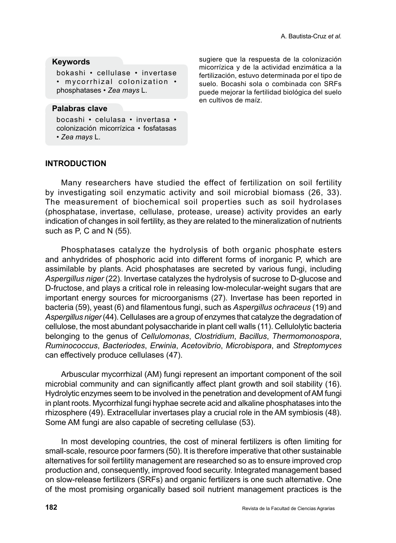#### **Keywords**

bokashi • cellulase • invertase • mycorrhizal colonization • phosphatases • *Zea mays* L.

#### **Palabras clave**

bocashi • celulasa • invertasa • colonización micorrízica • fosfatasas • *Zea mays* L.

sugiere que la respuesta de la colonización micorrízica y de la actividad enzimática a la fertilización, estuvo determinada por el tipo de suelo. Bocashi sola o combinada con SRFs puede mejorar la fertilidad biológica del suelo en cultivos de maíz.

#### **INTRODUCTION**

Many researchers have studied the effect of fertilization on soil fertility by investigating soil enzymatic activity and soil microbial biomass (26, 33). The measurement of biochemical soil properties such as soil hydrolases (phosphatase, invertase, cellulase, protease, urease) activity provides an early indication of changes in soil fertility, as they are related to the mineralization of nutrients such as P, C and N (55).

Phosphatases catalyze the hydrolysis of both organic phosphate esters and anhydrides of phosphoric acid into different forms of inorganic P, which are assimilable by plants. Acid phosphatases are secreted by various fungi, including *Aspergillus niger* (22). Invertase catalyzes the hydrolysis of sucrose to D-glucose and D-fructose, and plays a critical role in releasing low-molecular-weight sugars that are important energy sources for microorganisms (27). Invertase has been reported in bacteria (59), yeast (6) and filamentous fungi, such as *Aspergillus ochraceus* (19) and *Aspergillus niger* (44). Cellulases are a group of enzymes that catalyze the degradation of cellulose, the most abundant polysaccharide in plant cell walls (11). Cellulolytic bacteria belonging to the genus of *Cellulomonas*, *Clostridium*, *Bacillus*, *Thermomonospora*, *Ruminococcus*, *Bacteriodes*, *Erwinia*, *Acetovibrio*, *Microbispora*, and *Streptomyces* can effectively produce cellulases (47).

Arbuscular mycorrhizal (AM) fungi represent an important component of the soil microbial community and can significantly affect plant growth and soil stability (16). Hydrolytic enzymes seem to be involved in the penetration and development of AM fungi in plant roots. Mycorrhizal fungi hyphae secrete acid and alkaline phosphatases into the rhizosphere (49). Extracellular invertases play a crucial role in the AM symbiosis (48). Some AM fungi are also capable of secreting cellulase (53).

In most developing countries, the cost of mineral fertilizers is often limiting for small-scale, resource poor farmers (50). It is therefore imperative that other sustainable alternatives for soil fertility management are researched so as to ensure improved crop production and, consequently, improved food security. Integrated management based on slow-release fertilizers (SRFs) and organic fertilizers is one such alternative. One of the most promising organically based soil nutrient management practices is the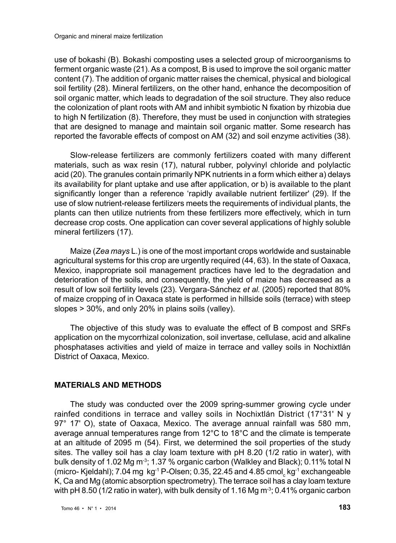use of bokashi (B). Bokashi composting uses a selected group of microorganisms to ferment organic waste (21). As a compost, B is used to improve the soil organic matter content (7). The addition of organic matter raises the chemical, physical and biological soil fertility (28). Mineral fertilizers, on the other hand, enhance the decomposition of soil organic matter, which leads to degradation of the soil structure. They also reduce the colonization of plant roots with AM and inhibit symbiotic N fixation by rhizobia due to high N fertilization (8). Therefore, they must be used in conjunction with strategies that are designed to manage and maintain soil organic matter. Some research has reported the favorable effects of compost on AM (32) and soil enzyme activities (38).

Slow-release fertilizers are commonly fertilizers coated with many different materials, such as wax resin (17), natural rubber, polyvinyl chloride and polylactic acid (20). The granules contain primarily NPK nutrients in a form which either a) delays its availability for plant uptake and use after application, or b) is available to the plant significantly longer than a reference 'rapidly available nutrient fertilizer' (29). If the use of slow nutrient-release fertilizers meets the requirements of individual plants, the plants can then utilize nutrients from these fertilizers more effectively, which in turn decrease crop costs. One application can cover several applications of highly soluble mineral fertilizers (17).

Maize (*Zea mays* L.) is one of the most important crops worldwide and sustainable agricultural systems for this crop are urgently required (44, 63). In the state of Oaxaca, Mexico, inappropriate soil management practices have led to the degradation and deterioration of the soils, and consequently, the yield of maize has decreased as a result of low soil fertility levels (23). Vergara-Sánchez *et al.* (2005) reported that 80% of maize cropping of in Oaxaca state is performed in hillside soils (terrace) with steep slopes > 30%, and only 20% in plains soils (valley).

The objective of this study was to evaluate the effect of B compost and SRFs application on the mycorrhizal colonization, soil invertase, cellulase, acid and alkaline phosphatases activities and yield of maize in terrace and valley soils in Nochixtlán District of Oaxaca, Mexico.

#### **MATERIALS AND METHODS**

The study was conducted over the 2009 spring-summer growing cycle under rainfed conditions in terrace and valley soils in Nochixtlán District (17°31' N y 97° 17' O), state of Oaxaca, Mexico. The average annual rainfall was 580 mm, average annual temperatures range from 12°C to 18°C and the climate is temperate at an altitude of 2095 m (54). First, we determined the soil properties of the study sites. The valley soil has a clay loam texture with pH 8.20 (1/2 ratio in water), with bulk density of 1.02 Mg m<sup>-3</sup>; 1.37 % organic carbon (Walkley and Black); 0.11% total N (micro- Kjeldahl); 7.04 mg  $\,$  kg $^{-1}$  P-Olsen; 0.35, 22.45 and 4.85 cmol $\,$  kg $^{-1}$  exchangeable K, Ca and Mg (atomic absorption spectrometry). The terrace soil has a clay loam texture with pH 8.50 (1/2 ratio in water), with bulk density of 1.16 Mg  $m^3$ ; 0.41% organic carbon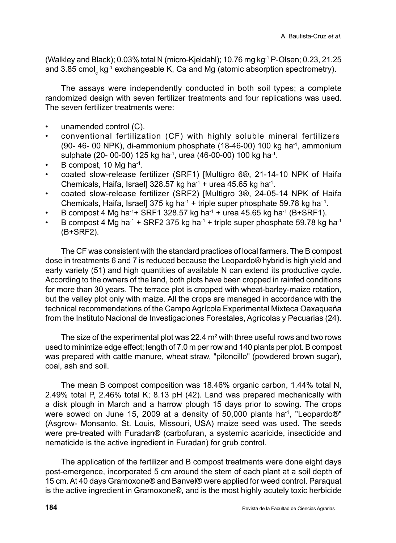(Walkley and Black); 0.03% total N (micro-Kjeldahl); 10.76 mg kg-1 P-Olsen; 0.23, 21.25 and 3.85 cmol $_{\rm c}$  kg $^{\rm -1}$  exchangeable K, Ca and Mg (atomic absorption spectrometry).

The assays were independently conducted in both soil types; a complete randomized design with seven fertilizer treatments and four replications was used. The seven fertilizer treatments were:

- unamended control (C).
- conventional fertilization (CF) with highly soluble mineral fertilizers (90- 46- 00 NPK), di-ammonium phosphate (18-46-00) 100 kg ha-1, ammonium sulphate (20- 00-00) 125 kg ha-1, urea (46-00-00) 100 kg ha-1.
- B compost, 10 Mg ha $^{-1}$ .
- coated slow-release fertilizer (SRF1) [Multigro 6®, 21-14-10 NPK of Haifa Chemicals, Haifa, Israel] 328.57 kg ha<sup>-1</sup> + urea 45.65 kg ha<sup>-1</sup>.
- coated slow-release fertilizer (SRF2) [Multigro 3®, 24-05-14 NPK of Haifa Chemicals, Haifa, Israel] 375 kg ha $-1$  + triple super phosphate 59.78 kg ha $-1$ .
- B compost 4 Mg ha<sup>-1</sup>+ SRF1 328.57 kg ha<sup>-1</sup> + urea 45.65 kg ha<sup>-1</sup> (B+SRF1).
- B compost 4 Mg ha<sup>-1</sup> + SRF2 375 kg ha<sup>-1</sup> + triple super phosphate 59.78 kg ha<sup>-1</sup> (B+SRF2).

The CF was consistent with the standard practices of local farmers. The B compost dose in treatments 6 and 7 is reduced because the Leopardo® hybrid is high yield and early variety (51) and high quantities of available N can extend its productive cycle. According to the owners of the land, both plots have been cropped in rainfed conditions for more than 30 years. The terrace plot is cropped with wheat-barley-maize rotation, but the valley plot only with maize. All the crops are managed in accordance with the technical recommendations of the Campo Agrícola Experimental Mixteca Oaxaqueña from the Instituto Nacional de Investigaciones Forestales, Agrícolas y Pecuarias (24).

The size of the experimental plot was 22.4  $m<sup>2</sup>$  with three useful rows and two rows used to minimize edge effect; length of 7.0 m per row and 140 plants per plot. B compost was prepared with cattle manure, wheat straw, "piloncillo" (powdered brown sugar), coal, ash and soil.

The mean B compost composition was 18.46% organic carbon, 1.44% total N, 2.49% total P, 2.46% total K; 8.13 pH (42). Land was prepared mechanically with a disk plough in March and a harrow plough 15 days prior to sowing. The crops were sowed on June 15, 2009 at a density of 50,000 plants ha<sup>-1</sup>, "Leopardo®" (Asgrow- Monsanto, St. Louis, Missouri, USA) maize seed was used. The seeds were pre-treated with Furadan® (carbofuran, a systemic acaricide, insecticide and nematicide is the active ingredient in Furadan) for grub control.

The application of the fertilizer and B compost treatments were done eight days post-emergence, incorporated 5 cm around the stem of each plant at a soil depth of 15 cm. At 40 days Gramoxone® and Banvel® were applied for weed control. Paraquat is the active ingredient in Gramoxone®, and is the most highly acutely toxic herbicide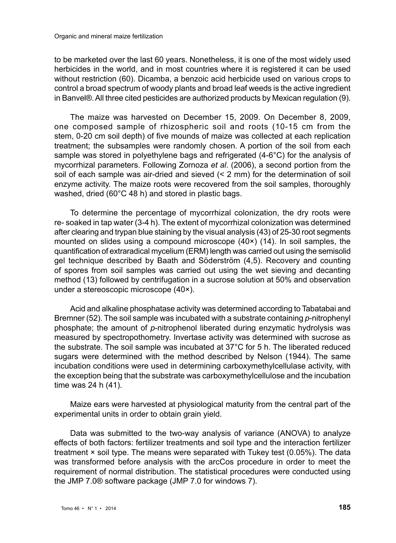to be marketed over the last 60 years. Nonetheless, it is one of the most widely used herbicides in the world, and in most countries where it is registered it can be used without restriction (60). Dicamba, a benzoic acid herbicide used on various crops to control a broad spectrum of woody plants and broad leaf weeds is the active ingredient in Banvel®. All three cited pesticides are authorized products by Mexican regulation (9).

The maize was harvested on December 15, 2009. On December 8, 2009, one composed sample of rhizospheric soil and roots (10-15 cm from the stem, 0-20 cm soil depth) of five mounds of maize was collected at each replication treatment; the subsamples were randomly chosen. A portion of the soil from each sample was stored in polyethylene bags and refrigerated (4-6°C) for the analysis of mycorrhizal parameters. Following Zornoza *et al*. (2006), a second portion from the soil of each sample was air-dried and sieved (< 2 mm) for the determination of soil enzyme activity. The maize roots were recovered from the soil samples, thoroughly washed, dried (60°C 48 h) and stored in plastic bags.

To determine the percentage of mycorrhizal colonization, the dry roots were re- soaked in tap water (3-4 h). The extent of mycorrhizal colonization was determined after clearing and trypan blue staining by the visual analysis (43) of 25-30 root segments mounted on slides using a compound microscope (40×) (14). In soil samples, the quantification of extraradical mycelium (ERM) length was carried out using the semisolid gel technique described by Baath and Söderström (4,5). Recovery and counting of spores from soil samples was carried out using the wet sieving and decanting method (13) followed by centrifugation in a sucrose solution at 50% and observation under a stereoscopic microscope (40×).

Acid and alkaline phosphatase activity was determined according to Tabatabai and Bremner (52). The soil sample was incubated with a substrate containing *p*-nitrophenyl phosphate; the amount of *p*-nitrophenol liberated during enzymatic hydrolysis was measured by spectropothometry. Invertase activity was determined with sucrose as the substrate. The soil sample was incubated at 37°C for 5 h. The liberated reduced sugars were determined with the method described by Nelson (1944). The same incubation conditions were used in determining carboxymethylcellulase activity, with the exception being that the substrate was carboxymethylcellulose and the incubation time was 24 h (41).

Maize ears were harvested at physiological maturity from the central part of the experimental units in order to obtain grain yield.

Data was submitted to the two-way analysis of variance (ANOVA) to analyze effects of both factors: fertilizer treatments and soil type and the interaction fertilizer treatment × soil type. The means were separated with Tukey test (0.05%). The data was transformed before analysis with the arcCos procedure in order to meet the requirement of normal distribution. The statistical procedures were conducted using the JMP 7.0® software package (JMP 7.0 for windows 7).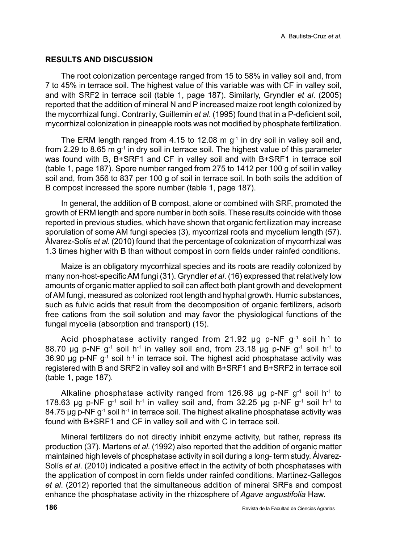### **RESULTS AND DISCUSSION**

The root colonization percentage ranged from 15 to 58% in valley soil and, from 7 to 45% in terrace soil. The highest value of this variable was with CF in valley soil, and with SRF2 in terrace soil (table 1, page 187). Similarly, Gryndler *et al*. (2005) reported that the addition of mineral N and P increased maize root length colonized by the mycorrhizal fungi. Contrarily, Guillemin *et al*. (1995) found that in a P-deficient soil, mycorrhizal colonization in pineapple roots was not modified by phosphate fertilization.

The ERM length ranged from 4.15 to 12.08 m  $g^{-1}$  in dry soil in valley soil and, from 2.29 to 8.65 m  $g^{-1}$  in dry soil in terrace soil. The highest value of this parameter was found with B, B+SRF1 and CF in valley soil and with B+SRF1 in terrace soil (table 1, page 187). Spore number ranged from 275 to 1412 per 100 g of soil in valley soil and, from 356 to 837 per 100 g of soil in terrace soil. In both soils the addition of B compost increased the spore number (table 1, page 187).

In general, the addition of B compost, alone or combined with SRF, promoted the growth of ERM length and spore number in both soils. These results coincide with those reported in previous studies, which have shown that organic fertilization may increase sporulation of some AM fungi species (3), mycorrizal roots and mycelium length (57). Álvarez-Solís *et al*. (2010) found that the percentage of colonization of mycorrhizal was 1.3 times higher with B than without compost in corn fields under rainfed conditions.

Maize is an obligatory mycorrhizal species and its roots are readily colonized by many non-host-specific AM fungi (31). Gryndler *et al*. (16) expressed that relatively low amounts of organic matter applied to soil can affect both plant growth and development of AM fungi, measured as colonized root length and hyphal growth. Humic substances, such as fulvic acids that result from the decomposition of organic fertilizers, adsorb free cations from the soil solution and may favor the physiological functions of the fungal mycelia (absorption and transport) (15).

Acid phosphatase activity ranged from 21.92  $\mu$ g p-NF g<sup>-1</sup> soil h<sup>-1</sup> to 88.70 µg p-NF  $g^{-1}$  soil h<sup>-1</sup> in valley soil and, from 23.18 µg p-NF  $g^{-1}$  soil h<sup>-1</sup> to  $36.90$  µg p-NF  $g^{-1}$  soil h<sup>-1</sup> in terrace soil. The highest acid phosphatase activity was registered with B and SRF2 in valley soil and with B+SRF1 and B+SRF2 in terrace soil (table 1, page 187).

Alkaline phosphatase activity ranged from 126.98  $\mu$ g p-NF g<sup>-1</sup> soil h<sup>-1</sup> to 178.63 µg p-NF g<sup>-1</sup> soil h<sup>-1</sup> in valley soil and, from 32.25 µg p-NF g<sup>-1</sup> soil h<sup>-1</sup> to 84.75  $\mu$ g p-NF g<sup>-1</sup> soil h<sup>-1</sup> in terrace soil. The highest alkaline phosphatase activity was found with B+SRF1 and CF in valley soil and with C in terrace soil.

Mineral fertilizers do not directly inhibit enzyme activity, but rather, repress its production (37). Martens *et al*. (1992) also reported that the addition of organic matter maintained high levels of phosphatase activity in soil during a long- term study. Álvarez-Solís *et al*. (2010) indicated a positive effect in the activity of both phosphatases with the application of compost in corn fields under rainfed conditions. Martínez-Gallegos *et al*. (2012) reported that the simultaneous addition of mineral SRFs and compost enhance the phosphatase activity in the rhizosphere of *Agave angustifolia* Haw.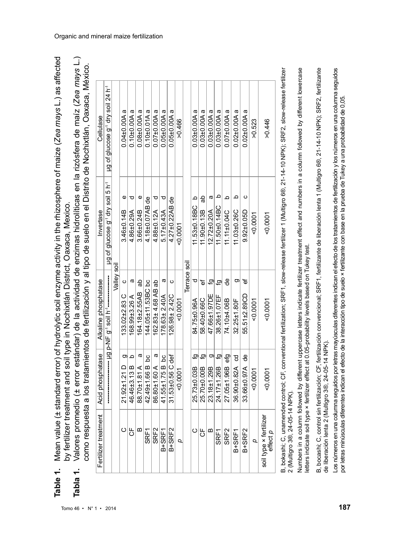| >>>>>>:"> >> ^:" >^">:" >>"" > "">:" : ; > : ; -; -; -; -; -; -; -; -; -; -; -; -<br>$+$ etandard priori of budrolutic soil enzyme activity in the rhizosphere of maize (Zea mays ). As affe<br>l | ï<br>l and and an in alcohol a shirter District Ocycor<br>ز<br>;; |
|---------------------------------------------------------------------------------------------------------------------------------------------------------------------------------------------------|-------------------------------------------------------------------|
|                                                                                                                                                                                                   |                                                                   |

**Tabla 1.** Valores promedio (± error estándar) de la actividad de enzimas hidrolíticas en la rizósfera de maíz (*Zea mays* L.) Valores promedio (± error estándar) de la actividad de enzimas hidrolíticas en la rizósfera de maíz (Zea mays L.) como respuesta a los tratamientos de fertilización y al tipo de suelo en el Distrito de Nochixtlán, Oaxaca, México. como respuesta a los tratamientos de fertilización y al tipo de suelo en el Distrito de Nochixtlán, Oaxaca, México. Tabla 1.

| Cellulase            | µg of glucose g <sup>-1</sup> dry soil 24 h <sup>-1</sup> |             | $0.04\pm0.00$ A a              | $0.10 + 0.00A$ a       | $0.08 + 0.00A$ a  | $0.10 + 0.01$ Aa | $0.07\pm0.00A$ a  | $0.05 \pm 0.00$ A a    | $0.05 \pm 0.00$ A a | $-0.466$      |              | $0.03 + 0.00A$ a | $0.03 + 0.00A$ a       | $0.03 + 0.00A$ a  | $0.03 + 0.00A$ a         | $0.07\pm0.00A$ a       | $0.02\pm0.00A$ a        | $0.02\pm0.00A$ a      | >0.523      | >0.446                             |
|----------------------|-----------------------------------------------------------|-------------|--------------------------------|------------------------|-------------------|------------------|-------------------|------------------------|---------------------|---------------|--------------|------------------|------------------------|-------------------|--------------------------|------------------------|-------------------------|-----------------------|-------------|------------------------------------|
| Invertase            | ug of glucose g <sup>-1</sup> dry soil 5 h <sup>-1</sup>  |             | Φ<br>$3.46 \pm 0.14 B$         | ರ<br>$4.86 \pm 0.29$ A | Φ<br>3.66±0.24B   | 4.18±0.07AB de   | σ<br>4.88±0.12A   | ਹ<br>$5.17 \pm 0.43$ A | 4.27±0.22AB de      | 00007         |              | 11.53±0.18BC b   | $11.90 \pm 0.13 B$ ab  | ω<br>12.72±0.20A  | $\circ$<br>11.50±0.14BC  | $\circ$<br>11.11±0.04C | $\Omega$<br>11.03±0.26C | Ò<br>$9.92 \pm 0.05D$ | $-0.0001$   | 0.0001                             |
| Alkaline phosphatase |                                                           | Valley soil | $\circ$<br>$133.02 \pm 2.83$ C | ω<br>68.99±3.26 A      | 64.18±2.55AB ab   | 44.05±11.53BC bc | 162.83±4.68 AB ab | ω<br>178.63±2.40A      | O<br>26.98±2.42C    | $\frac{8}{3}$ | Terrace soil | ರ<br>84.75±0.96A | ፟፟፟፟፟፟፟<br>58.40±0.66C | ల<br>47.66±1.97DE | <u>م</u><br>38.26±1.07EF | မ္မ<br>74.10±4.06B     | ರಾ<br>32.25±1.80F       | ъ<br>55.51±2.89CD     | $\sim 0.00$ | 50.0001                            |
| Acid phosphatase     |                                                           |             | Ō<br>21.92±1.21 D              | 46.46±3.13 B           | ω<br>88.70±1.81 A | 42.49±1.66 B bc  | ω<br>86.80±1.60 A | 41.55±1.75 B bc        | 31.53±0.56 C def    | 50007         |              | ø<br>25.73±0.03B | ලු<br>25.70±0.00B      | 23.18±1.29B       | ලු<br>24.17±1.26B        | 27.05±1.96B efg        | 36.90±0.82A cd          | 33.66±0.97A de        | $-0.0007$   | 50.0001                            |
| Fertilizer treatment |                                                           |             | ပ                              | 5                      | ≃                 | SRF1             | SRF2              | B+SRF1                 | B+SRF2              | p             |              | $\circ$          | 5                      | m                 | SRF1                     | SRF <sub>2</sub>       | B+SRF1                  | B+SRF2                | Q           | soil type × fertilizer<br>effect p |

B, bokashi; C, unamended control; CF, conventional fertilization; SRF1, slow-release fertilizer 1 (Multigro 6®, 21-14-10 NPK); SRF2, slow-release fertilizer B, bokashi; C, unamended control; CF, conventional fertilization; SRF1, slow-release fertilizer 1 (Multigro 6®, 21-14-10 NPK); SRF2, slow-release fertilizer 2 (Multigro 3®, 24-05-14 NPK). 2 (Multigro 3®, 24-05-14 NPK). Numbers in a column followed by different uppercase letters indicate fertilizer treatment effect and numbers in a column followed by different lowercase Numbers in a column followed by different uppercase letters indicate fertilizer treatment effect and numbers in a column followed by different lowercase etters indicate soil type x fertilizer effect at 0.05-probability levels based on Tukey test. letters indicate soil type × fertilizer effect at 0.05-probability levels based on Tukey test.

B, bocashi; C, control sin fertilización; CF, fertilización convencional; SRF1, fertilizante de liberación lenta 1 (Multigro 6®, 21-14-10 NPK); SRF2, fertilizante B, bocashi; C, control sin fertilización; CF, fertilización convencional; SRF1, fertilizante de liberación lenta 1 (Multigro 6®, 21-14-10 NPK); SRF2, fertilizante de liberación lenta 2 (Multigro 3®, 24-05-14 NPK). de liberación lenta 2 (Multigro 3®, 24-05-14 NPK).

Los números en una columna seguidos por letras mayúsculas diferentes indican el efecto de los tratamientos de fertilización y los números en una columna seguidos os números en una columna seguidos por letras mayúsculas diferentes indican el efecto de los tratamientos de fertilización y los números en una columna seguidos por letras minúsculas diferentes indican el efecto de la interacción tipo de suelo × fertilizante con base en la prueba de Tukey a una probabilidad de 0,05. por letras minúsculas diferentes indican el efecto de la interacción tipo de suelo × fertilizante con base en la prueba de Tukey a una probabilidad de 0,05.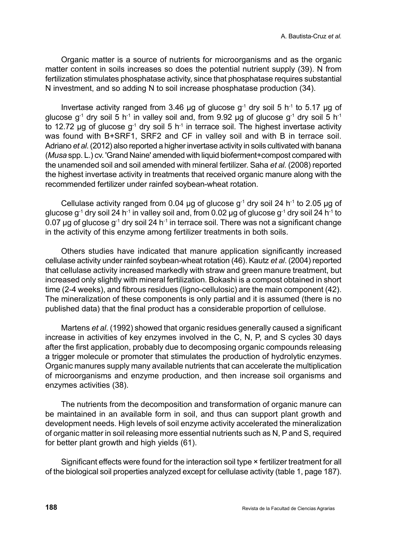Organic matter is a source of nutrients for microorganisms and as the organic matter content in soils increases so does the potential nutrient supply (39). N from fertilization stimulates phosphatase activity, since that phosphatase requires substantial N investment, and so adding N to soil increase phosphatase production (34).

Invertase activity ranged from 3.46 μg of glucose  $g^{-1}$  dry soil 5 h<sup>-1</sup> to 5.17 μg of glucose  $g^{-1}$  dry soil 5 h<sup>-1</sup> in valley soil and, from 9.92 ug of glucose  $g^{-1}$  dry soil 5 h<sup>-1</sup> to 12.72 μg of glucose  $g^{-1}$  dry soil 5 h<sup>-1</sup> in terrace soil. The highest invertase activity was found with B+SRF1, SRF2 and CF in valley soil and with B in terrace soil. Adriano *et al*.(2012) also reported a higher invertase activity in soils cultivated with banana (*Musa* spp. L.) cv. 'Grand Naine' amended with liquid bioferment+compost compared with the unamended soil and soil amended with mineral fertilizer. Saha *et al.* (2008) reported the highest invertase activity in treatments that received organic manure along with the recommended fertilizer under rainfed soybean-wheat rotation.

Cellulase activity ranged from 0.04 μg of glucose  $g^{-1}$  dry soil 24 h<sup>-1</sup> to 2.05 μg of glucose g<sup>-1</sup> dry soil 24 h<sup>-1</sup> in valley soil and, from 0.02 µg of glucose g<sup>-1</sup> dry soil 24 h<sup>-1</sup> to 0.07 µg of glucose  $g^{-1}$  dry soil 24 h<sup>-1</sup> in terrace soil. There was not a significant change in the activity of this enzyme among fertilizer treatments in both soils.

Others studies have indicated that manure application significantly increased cellulase activity under rainfed soybean-wheat rotation (46). Kautz *et al*. (2004) reported that cellulase activity increased markedly with straw and green manure treatment, but increased only slightly with mineral fertilization. Bokashi is a compost obtained in short time (2-4 weeks), and fibrous residues (ligno-cellulosic) are the main component (42). The mineralization of these components is only partial and it is assumed (there is no published data) that the final product has a considerable proportion of cellulose.

Martens *et al*. (1992) showed that organic residues generally caused a significant increase in activities of key enzymes involved in the C, N, P, and S cycles 30 days after the first application, probably due to decomposing organic compounds releasing a trigger molecule or promoter that stimulates the production of hydrolytic enzymes. Organic manures supply many available nutrients that can accelerate the multiplication of microorganisms and enzyme production, and then increase soil organisms and enzymes activities (38).

The nutrients from the decomposition and transformation of organic manure can be maintained in an available form in soil, and thus can support plant growth and development needs. High levels of soil enzyme activity accelerated the mineralization of organic matter in soil releasing more essential nutrients such as N, P and S, required for better plant growth and high yields (61).

Significant effects were found for the interaction soil type × fertilizer treatment for all of the biological soil properties analyzed except for cellulase activity (table 1, page 187).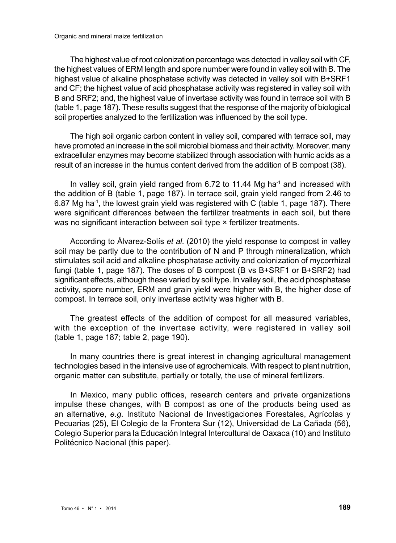The highest value of root colonization percentage was detected in valley soil with CF, the highest values of ERM length and spore number were found in valley soil with B. The highest value of alkaline phosphatase activity was detected in valley soil with B+SRF1 and CF; the highest value of acid phosphatase activity was registered in valley soil with B and SRF2; and, the highest value of invertase activity was found in terrace soil with B (table 1, page 187). These results suggest that the response of the majority of biological soil properties analyzed to the fertilization was influenced by the soil type.

The high soil organic carbon content in valley soil, compared with terrace soil, may have promoted an increase in the soil microbial biomass and their activity. Moreover, many extracellular enzymes may become stabilized through association with humic acids as a result of an increase in the humus content derived from the addition of B compost (38).

In valley soil, grain yield ranged from 6.72 to 11.44 Mg ha<sup>-1</sup> and increased with the addition of B (table 1, page 187). In terrace soil, grain yield ranged from 2.46 to 6.87 Mg ha-1, the lowest grain yield was registered with C (table 1, page 187). There were significant differences between the fertilizer treatments in each soil, but there was no significant interaction between soil type × fertilizer treatments.

According to Álvarez-Solís *et al*. (2010) the yield response to compost in valley soil may be partly due to the contribution of N and P through mineralization, which stimulates soil acid and alkaline phosphatase activity and colonization of mycorrhizal fungi (table 1, page 187). The doses of B compost (B vs B+SRF1 or B+SRF2) had significant effects, although these varied by soil type. In valley soil, the acid phosphatase activity, spore number, ERM and grain yield were higher with B, the higher dose of compost. In terrace soil, only invertase activity was higher with B.

The greatest effects of the addition of compost for all measured variables, with the exception of the invertase activity, were registered in valley soil (table 1, page 187; table 2, page 190).

In many countries there is great interest in changing agricultural management technologies based in the intensive use of agrochemicals. With respect to plant nutrition, organic matter can substitute, partially or totally, the use of mineral fertilizers.

In Mexico, many public offices, research centers and private organizations impulse these changes, with B compost as one of the products being used as an alternative, *e.g.* Instituto Nacional de Investigaciones Forestales, Agrícolas y Pecuarias (25), El Colegio de la Frontera Sur (12), Universidad de La Cañada (56), Colegio Superior para la Educación Integral Intercultural de Oaxaca (10) and Instituto Politécnico Nacional (this paper).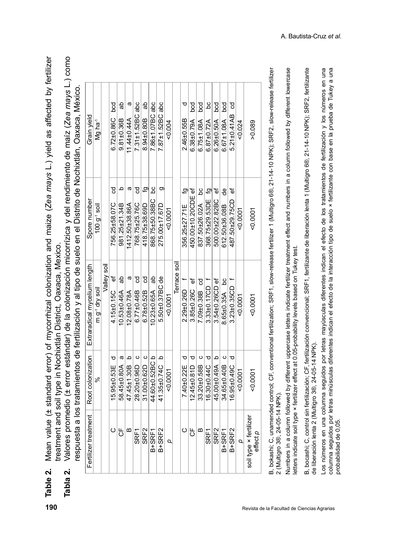**Table 2.** Mean value (± standard error) of mycorrhizal colonization and maize (*Zea mays* L.) yield as affected by fertilizer Mean value (± standard error) of mycorrhizal colonization and maize (Zea mays L.) yield as affected by fertilizer treatment and soil type in Nochixtlán District, Oaxaca, Mexico. treatment and soil type in Nochixtlán District, Oaxaca, Mexico. Table 2.

**Tabla 2.** Valores promedio (± error estándar) de la colonización micorrízica y del rendimiento de maíz (*Zea mays* L.) como Valores promedio (± error estándar) de la colonización micorrízica y del rendimiento de maíz (Zea mays L.) como respuesta a los tratamientos de fertilización y al tipo de suelo en el Distrito de Nochixtlán, Oaxaca, México. espuesta a los tratamientos de fertilización y al tipo de suelo en el Distrito de Nochixtlán, Oaxaca, México. Tabla 2.

| Grain vield                  | Mg ha <sup>-1</sup>        |             | $6.72 \pm 0.86$ C bcd | ಕಿ<br>$9.81 \pm 0.36B$  | ω<br>11.44±0.44A       | 7.31±1.52BC abc        | ಹೆ<br>8.94±0.80B    | 7.86±1.07BC abc       | $7.87 \pm 1.52$ BC abc | $-0.004$ |              | ರ<br>2.46±0.55B    | bcd<br>6.38±0.79A        | bcd<br>$6.75 \pm 1.08$ A | <u>sc</u><br>$6.87 \pm 0.72A$ | bcd<br>$6.26 \pm 0.50$ A    | bcd<br>D<br>$6.67 \pm 1.08A$ | g<br>5.21±0.41AB    | 0.024  | >0.089                             |
|------------------------------|----------------------------|-------------|-----------------------|-------------------------|------------------------|------------------------|---------------------|-----------------------|------------------------|----------|--------------|--------------------|--------------------------|--------------------------|-------------------------------|-----------------------------|------------------------------|---------------------|--------|------------------------------------|
| Spore number                 | $100$ g <sup>-1</sup> soil |             | टु<br>756.25±58.07C   | Ω<br>981.25±21.34B      | ω<br>1412.50±38.86A    | ಠ<br>768.75±25.76C     | යු<br>418.75±38.69D | g<br>868.75±50.38BC   | ō<br>275.00±17.67D     | 50007    |              | Σ<br>356.25±27.71E | 450.00 $\pm$ 10.20CDE ef | ە<br>م<br>837.50±26.02A  | ₽<br>368.75±29.53DE           | ď<br>500.00±22.82BC         | g<br>612.50±36.08B           | ъ<br>487.50±29.75CD | 00007  | $-0.0001$                          |
| Extraradical mycelium length | m g <sup>-1</sup> dry soil | Valley soil | ď<br>4.15±0.15C       | ಹೆ<br>$10.53 \pm 0.46A$ | ω<br>12.08±0.78A       | ಔ<br>6.77±0.46B        | ಔ<br>6.78±0.52B     | $10.23 \pm 0.65$ A ab | 5.50±0.37BC de         | 0.0007   | Terrace soil | 2.29±0.26D         | 3.85±0.26C ef            | 7.09±0.38B cd            | 3.33±0.17CD                   | 3.54±0.26CD ef              | $8.65 \pm 0.35$ A bc         | 3.23±0.35CD         | 0.0007 | 50.0007                            |
| Root colonization            | ಸಿ                         |             | τ<br>15.95±0.53E      | a<br>58.45±0.80A        | $\circ$<br>47.45±1.30B | $\circ$<br>28.20±0.96D | O<br>31.00±0.62D    | 44.60±0.52BCb         | 41.35±0.74C            | 50001    |              | ਟ<br>7.40±0.22E    | ਹ<br>12.45±0.81D         | O<br>33.20±0.58B         | $16.30 + 0.44$ C              | $\mathbf{c}$<br>45.00±0.49A | $\circ$<br>34.65±0.40B       | 16.95±0.49C         | 50001  | $-0.0001$                          |
| Fertilizer treatment         |                            |             | $\circ$               | 5                       | മ                      | SRF1                   | SRF2                | $B+$ SRF1             | B+SRF2                 | Q        |              | Ò                  | 5                        | m                        | SRF1                          | SRF2                        | B+SRF1                       | $B+$ SRF2           | Q      | soil type × fertilizer<br>effect p |

B, bokashi; C, unamended control; CF, conventional fertilization; SRF1, slow-release fertilizer 1 (Multigro 6®, 21-14-10 NPK); SRF2, slow-release fertilizer B, bokashi; C, unamended control; CF, conventional fertilization; SRF1, slow-release fertilizer 1 (Multigro 6®, 21-14-10 NPK); SRF2, slow-release fertilizer 2 (Multigro 3®, 24-05-14 NPK). 2 (Multigro 3®, 24-05-14 NPK).

Numbers in a column followed by different uppercase letters indicate fertilizer treatment effect and numbers in a column followed by different lowercase Numbers in a column followed by different uppercase letters indicate fertilizer treatment effect and numbers in a column followed by different lowercase letters indicate soil type x fertilizer effect at 0.05-probability levels based on Tukey test. letters indicate soil type × fertilizer effect at 0.05-probability levels based on Tukey test.

B, bocashi; C, control sin fertilización; CF, fertilización convencional; SRF1, fertilizante de liberación lenta 1 (Multigro 6®, 21-14-10 NPK); SRF2, fertilizante B, bocashi; C, control sin fertilización; CF, fertilización convencional; SRF1, fertilizante de liberación lenta 1 (Multigro 6®, 21-14-10 NPK); SRF2, fertilizante de liberación lenta 2 (Multigro 3®, 24-05-14 NPK). de liberación lenta 2 (Multigro 3®, 24-05-14 NPK).

Los números en una columna seguidos por letras mayúsculas diferentes indican el efecto de los tratamientos de fertilización y los números en una<br>columna seguidos por letras minúsculas diferentes indican el efecto de la int Los números en una columna seguidos por letras mayúsculas diferentes indican el efecto de los tratamientos de fertilización y los números en una columna seguidos por letras minúsculas diferentes indican el efecto de la interacción tipo de suelo × fertilizante con base en la prueba de Tukey a una probabilidad de 0,05. probabilidad de 0,05.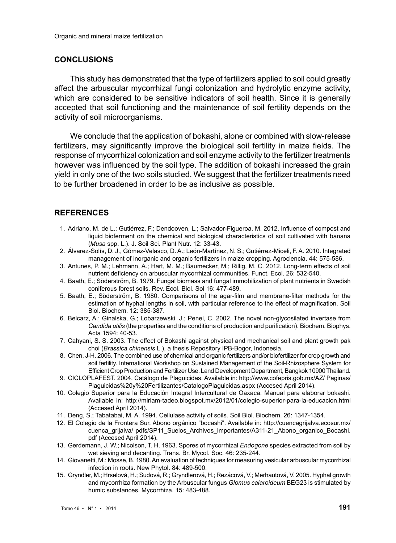#### **CONCLUSIONS**

This study has demonstrated that the type of fertilizers applied to soil could greatly affect the arbuscular mycorrhizal fungi colonization and hydrolytic enzyme activity, which are considered to be sensitive indicators of soil health. Since it is generally accepted that soil functioning and the maintenance of soil fertility depends on the activity of soil microorganisms.

We conclude that the application of bokashi, alone or combined with slow-release fertilizers, may significantly improve the biological soil fertility in maize fields. The response of mycorrhizal colonization and soil enzyme activity to the fertilizer treatments however was influenced by the soil type. The addition of bokashi increased the grain yield in only one of the two soils studied. We suggest that the fertilizer treatments need to be further broadened in order to be as inclusive as possible.

#### **REFERENCES**

- 1. Adriano, M. de L.; Gutiérrez, F.; Dendooven, L.; Salvador-Figueroa, M. 2012. Influence of compost and liquid bioferment on the chemical and biological characteristics of soil cultivated with banana (*Musa* spp. L.). J. Soil Sci. Plant Nutr. 12: 33-43.
- 2. Álvarez-Solís, D. J., Gómez-Velasco, D. A.; León-Martínez, N. S.; Gutiérrez-Miceli, F. A. 2010. Integrated management of inorganic and organic fertilizers in maize cropping. Agrociencia. 44: 575-586.
- 3. Antunes, P. M.; Lehmann, A.; Hart, M. M.; Baumecker, M.; Rillig, M. C. 2012. Long-term effects of soil nutrient deficiency on arbuscular mycorrhizal communities. Funct. Ecol. 26: 532-540.
- 4. Baath, E.; Söderström, B. 1979. Fungal biomass and fungal immobilization of plant nutrients in Swedish coniferous forest soils. Rev. Ecol. Biol. Sol 16: 477-489.
- 5. Baath, E.; Söderström, B. 1980. Comparisons of the agar-film and membrane-filter methods for the estimation of hyphal lengths in soil, with particular reference to the effect of magnification. Soil Biol. Biochem. 12: 385-387.
- 6. Belcarz, A.; Ginalska, G.; Lobarzewski, J.; Penel, C. 2002. The novel non-glycosilated invertase from *Candida utilis* (the properties and the conditions of production and purification). Biochem. Biophys. Acta 1594: 40-53.
- 7. Cahyani, S. S. 2003. The effect of Bokashi against physical and mechanical soil and plant growth pak choi (*Brassica chinensis* L.), a thesis Repository IPB-Bogor, Indonesia.
- 8. Chen, J-H. 2006. The combined use of chemical and organic fertilizers and/or biofertilizer for crop growth and soil fertility. International Workshop on Sustained Management of the Soil-Rhizosphere System for Efficient Crop Production and Fertilizer Use. Land Development Department, Bangkok 10900 Thailand.
- 9. CICLOPLAFEST. 2004. Catálogo de Plaguicidas. Available in: http://www.cofepris.gob.mx/AZ/ Paginas/ Plaguicidas%20y%20Fertilizantes/CatalogoPlaguicidas.aspx (Accesed April 2014).
- 10. Colegio Superior para la Educación Integral Intercultural de Oaxaca. Manual para elaborar bokashi. Available in: http://miriam-tadeo.blogspot.mx/2012/01/colegio-superior-para-la-educacion.html (Accesed April 2014).
- 11. Deng, S.; Tabatabai, M. A. 1994. Cellulase activity of soils. Soil Biol. Biochem. 26: 1347-1354.
- 12. El Colegio de la Frontera Sur. Abono orgánico "bocashi". Available in: http://cuencagrijalva.ecosur.mx/ cuenca grijalva/ pdfs/SP11\_Suelos\_Archivos\_importantes/A311-21\_Abono\_organico\_Bocashi. pdf (Accesed April 2014).
- 13. Gerdemann, J. W.; Nicolson, T. H. 1963. Spores of mycorrhizal *Endogone* species extracted from soil by wet sieving and decanting. Trans. Br. Mycol. Soc. 46: 235-244.
- 14. Giovanetti, M.; Mosse, B. 1980. An evaluation of techniques for measuring vesicular arbuscular mycorrhizal infection in roots. New Phytol. 84: 489-500.
- 15. Gryndler, M.; Hrselová, H.; Sudová, R.; Gryndlerová, H.; Rezácová, V.; Merhautová, V. 2005. Hyphal growth and mycorrhiza formation by the Arbuscular fungus *Glomus calaroideum* BEG23 is stimulated by humic substances. Mycorrhiza. 15: 483-488.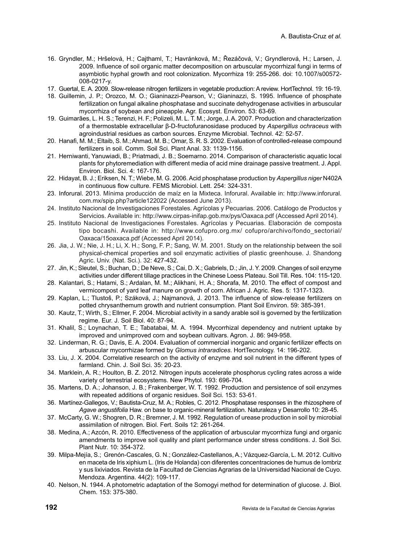- 16. Gryndler, M.; Hršelová, H.; Cajthaml, T.; Havránková, M.; Řezáčová, V.; Gryndlerová, H.; Larsen, J. 2009. Influence of soil organic matter decomposition on arbuscular mycorrhizal fungi in terms of asymbiotic hyphal growth and root colonization. Mycorrhiza 19: 255-266. doi: 10.1007/s00572- 008-0217-y.
- 17. Guertal, E. A. 2009. Slow-release nitrogen fertilizers in vegetable production: A review. HortTechnol. 19: 16-19.
- 18. Guillemin, J. P.; Orozco, M. O.; Gianinazzi-Pearson, V.; Gianinazzi, S. 1995. Influence of phosphate fertilization on fungal alkaline phosphatase and succinate dehydrogenase activities in arbuscular mycorrhiza of soybean and pineapple. Agr. Ecosyst. Environ. 53: 63-69.
- 19. Guimarães, L. H. S.; Terenzi, H. F.; Polizeli, M. L. T. M.; Jorge, J. A. 2007. Production and characterization of a thermostable extracellular β-D-fructofuranosidase produced by *Aspergillus ochraceus* with agroindustrial residues as carbon sources. Enzyme Microbial. Technol. 42: 52-57.
- 20. Hanafi, M. M.; Eltaib, S. M.; Ahmad, M. B.; Omar, S. R. S. 2002. Evaluation of controlled-release compound fertilizers in soil. Comm. Soil Sci. Plant Anal. 33: 1139-1156.
- 21. Herniwanti, Yanuwiadi, B.; Priatmadi, J. B.; Soemarno. 2014. Comparison of characteristic aquatic local plants for phytoremediation with different media of acid mine drainage passive treatment. J. Appl. Environ. Biol. Sci. 4: 167-176.
- 22. Hidayat, B. J.; Eriksen, N. T.; Wiebe, M. G. 2006. Acid phosphatase production by *Aspergillus niger* N402A in continuous flow culture. FEMS Microbiol. Lett. 254: 324-331.
- 23. Inforural. 2013. Mínima producción de maíz en la Mixteca. Inforural. Available in: http://www.inforural. com.mx/spip.php?article122022 (Accessed June 2013).
- 24. Instituto Nacional de Investigaciones Forestales. Agrícolas y Pecuarias. 2006. Catálogo de Productos y Servicios. Available in: http://www.cirpas-inifap.gob.mx/pys/Oaxaca.pdf (Accessed April 2014).
- 25. Instituto Nacional de Investigaciones Forestales. Agrícolas y Pecuarias. Elaboración de composta tipo bocashi. Available in: http://www.cofupro.org.mx/ cofupro/archivo/fondo\_sectorial/ Oaxaca/15oaxaca.pdf (Accessed April 2014).
- 26. Jia, J. W.; Nie, J. H.; Li, X. H.; Song, F. P.; Sang, W. M. 2001. Study on the relationship between the soil physical-chemical properties and soil enzymatic activities of plastic greenhouse. J. Shandong Agric. Univ. (Nat. Sci.). 32: 427-432.
- 27. Jin, K.; Sleutel, S.; Buchan, D.; De Neve, S.; Cai, D. X.; Gabriels, D.; Jin, J. Y. 2009. Changes of soil enzyme activities under different tillage practices in the Chinese Loess Plateau. Soil Till. Res. 104: 115-120.
- 28. Kalantari, S.; Hatami, S.; Ardalan, M. M.; Alikhani, H. A.; Shorafa, M. 2010. The effect of compost and vermicompost of yard leaf manure on growth of corn. African J. Agric. Res. 5: 1317-1323.
- 29. Kaplan, L.; Tlustoš, P.; Száková, J.; Najmanová, J. 2013. The influence of slow-release fertilizers on potted chrysanthemum growth and nutrient consumption. Plant Soil Environ. 59: 385-391.
- 30. Kautz, T.; Wirth, S.; Ellmer, F. 2004. Microbial activity in a sandy arable soil is governed by the fertilization regime. Eur. J. Soil Biol. 40: 87-94.
- 31. Khalil, S.; Loynachan, T. E.; Tabatabai, M. A. 1994. Mycorrhizal dependency and nutrient uptake by improved and unimproved corn and soybean cultivars. Agron. J. 86: 949-958.
- 32. Linderman, R. G.; Davis, E. A. 2004. Evaluation of commercial inorganic and organic fertilizer effects on arbuscular mycorrhizae formed by *Glomus intraradices*. HortTecnology. 14: 196-202.
- 33. Liu, J. X. 2004. Correlative research on the activity of enzyme and soil nutrient in the different types of farmland. Chin. J. Soil Sci. 35: 20-23.
- 34. Marklein, A. R.; Houlton, B. Z. 2012. Nitrogen inputs accelerate phosphorus cycling rates across a wide variety of terrestrial ecosystems. New Phytol. 193: 696-704.
- 35. Martens, D. A.; Johanson, J. B.; Frakenberger, W. T. 1992. Production and persistence of soil enzymes with repeated additions of organic residues. Soil Sci. 153: 53-61.
- 36. Martínez-Gallegos, V.; Bautista-Cruz, M. A.; Robles, C. 2012. Phosphatase responses in the rhizosphere of *Agave angustifolia* Haw. on base to organic-mineral fertilization. Naturaleza y Desarrollo 10: 28-45.
- 37. McCarty, G. W.; Shogren, D. R.; Bremner, J. M. 1992. Regulation of urease production in soil by microbial assimilation of nitrogen. Biol. Fert. Soils 12: 261-264.
- 38. Medina, A.; Azcón, R. 2010. Effectiveness of the application of arbuscular mycorrhiza fungi and organic amendments to improve soil quality and plant performance under stress conditions. J. Soil Sci. Plant Nutr. 10: 354-372.
- 39. Milpa-Mejía, S.; Grenón-Cascales, G. N.; González-Castellanos, A.; Vázquez-García, L. M. 2012. Cultivo en maceta de Iris xiphium L. (Iris de Holanda) con diferentes concentraciones de humus de lombriz y sus lixiviados. Revista de la Facultad de Ciencias Agrarias de la Universidad Nacional de Cuyo. Mendoza. Argentina. 44(2): 109-117.
- 40. Nelson, N. 1944. A photometric adaptation of the Somogyi method for determination of glucose. J. Biol. Chem. 153: 375-380.